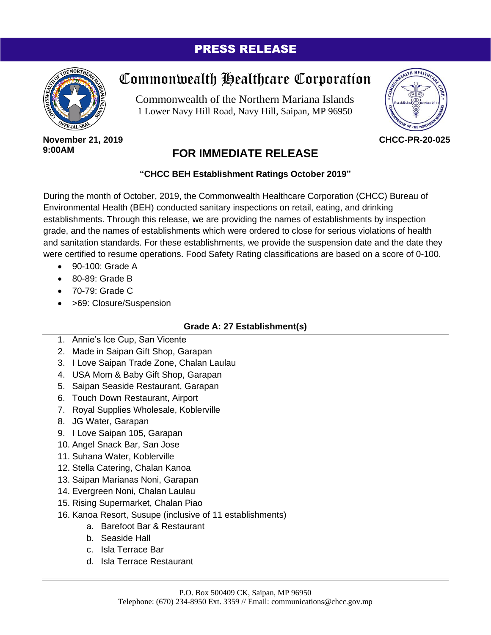## PRESS RELEASE



# Commonwealth Healthcare Corporation

Commonwealth of the Northern Mariana Islands 1 Lower Navy Hill Road, Navy Hill, Saipan, MP 96950



#### **November 21, 2019 9:00AM**

# **FOR IMMEDIATE RELEASE**

### **"CHCC BEH Establishment Ratings October 2019"**

During the month of October, 2019, the Commonwealth Healthcare Corporation (CHCC) Bureau of Environmental Health (BEH) conducted sanitary inspections on retail, eating, and drinking establishments. Through this release, we are providing the names of establishments by inspection grade, and the names of establishments which were ordered to close for serious violations of health and sanitation standards. For these establishments, we provide the suspension date and the date they were certified to resume operations. Food Safety Rating classifications are based on a score of 0-100.

- $\bullet$  90-100; Grade A
- 80-89: Grade B
- 70-79: Grade C
- > 69: Closure/Suspension

## **Grade A: 27 Establishment(s)**

- 1. Annie's Ice Cup, San Vicente
- 2. Made in Saipan Gift Shop, Garapan
- 3. I Love Saipan Trade Zone, Chalan Laulau
- 4. USA Mom & Baby Gift Shop, Garapan
- 5. Saipan Seaside Restaurant, Garapan
- 6. Touch Down Restaurant, Airport
- 7. Royal Supplies Wholesale, Koblerville
- 8. JG Water, Garapan
- 9. I Love Saipan 105, Garapan
- 10. Angel Snack Bar, San Jose
- 11. Suhana Water, Koblerville
- 12. Stella Catering, Chalan Kanoa
- 13. Saipan Marianas Noni, Garapan
- 14. Evergreen Noni, Chalan Laulau
- 15. Rising Supermarket, Chalan Piao
- 16. Kanoa Resort, Susupe (inclusive of 11 establishments)
	- a. Barefoot Bar & Restaurant
		- b. Seaside Hall
		- c. Isla Terrace Bar
		- d. Isla Terrace Restaurant